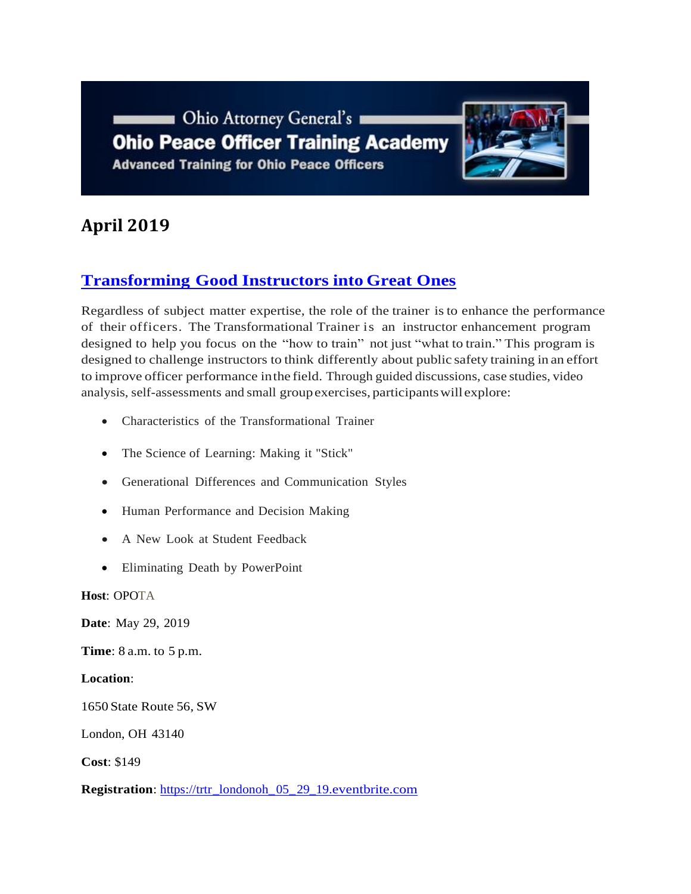Ohio Attorney General's **Ohio Peace Officer Training Academy Advanced Training for Ohio Peace Officers** 



# **April 2019**

## **[Transforming](https://www.ohioattorneygeneral.gov/Media/Newsletters/Ohio-Peace-Officer-Training-Academy-email-newslett/April-2019/Transforming-Good-Instructors-into-Great-Ones) Good Instructors into Great Ones**

Regardless of subject matter expertise, the role of the trainer is to enhance the performance of their officers. The Transformational Trainer is an instructor enhancement program designed to help you focus on the "how to train" not just "what to train." This program is designed to challenge instructors to think differently about public safety training in an effort to improve officer performance inthe field. Through guided discussions, case studies, video analysis, self-assessments and small groupexercises, participantswill explore:

- Characteristics of the Transformational Trainer
- The Science of Learning: Making it "Stick"
- Generational Differences and Communication Styles
- Human Performance and Decision Making
- A New Look at Student Feedback
- Eliminating Death by PowerPoint

**Host**: OPOTA

**Date**: May 29, 2019

**Time**: 8 a.m. to 5 p.m.

**Location**:

1650 State Route 56, SW

London, OH 43140

**Cost**: \$149

**Registration**: [https://trtr\\_londonoh\\_05\\_29\\_19.eventbrite.com](https://trtr_londonoh_05_29_19.eventbrite.com/)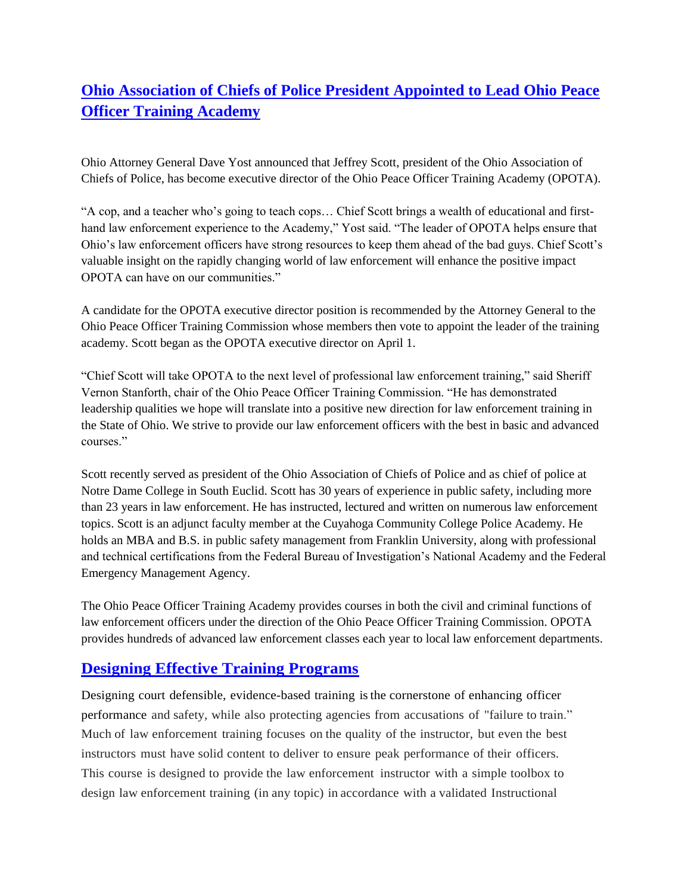## **[Ohio Association of Chiefs of Police President Appointed to Lead Ohio Peace](https://www.ohioattorneygeneral.gov/Media/News-Releases/March-2019/Ohio-Association-of-Chiefs-of-Police-President-App)  [Officer Training Academy](https://www.ohioattorneygeneral.gov/Media/News-Releases/March-2019/Ohio-Association-of-Chiefs-of-Police-President-App)**

Ohio Attorney General Dave Yost announced that Jeffrey Scott, president of the Ohio Association of Chiefs of Police, has become executive director of the Ohio Peace Officer Training Academy (OPOTA).

"A cop, and a teacher who's going to teach cops… Chief Scott brings a wealth of educational and firsthand law enforcement experience to the Academy," Yost said. "The leader of OPOTA helps ensure that Ohio's law enforcement officers have strong resources to keep them ahead of the bad guys. Chief Scott's valuable insight on the rapidly changing world of law enforcement will enhance the positive impact OPOTA can have on our communities."

A candidate for the OPOTA executive director position is recommended by the Attorney General to the Ohio Peace Officer Training Commission whose members then vote to appoint the leader of the training academy. Scott began as the OPOTA executive director on April 1.

"Chief Scott will take OPOTA to the next level of professional law enforcement training," said Sheriff Vernon Stanforth, chair of the Ohio Peace Officer Training Commission. "He has demonstrated leadership qualities we hope will translate into a positive new direction for law enforcement training in the State of Ohio. We strive to provide our law enforcement officers with the best in basic and advanced courses."

Scott recently served as president of the Ohio Association of Chiefs of Police and as chief of police at Notre Dame College in South Euclid. Scott has 30 years of experience in public safety, including more than 23 years in law enforcement. He has instructed, lectured and written on numerous law enforcement topics. Scott is an adjunct faculty member at the Cuyahoga Community College Police Academy. He holds an MBA and B.S. in public safety management from Franklin University, along with professional and technical certifications from the Federal Bureau of Investigation's National Academy and the Federal Emergency Management Agency.

The Ohio Peace Officer Training Academy provides courses in both the civil and criminal functions of law enforcement officers under the direction of the Ohio Peace Officer Training Commission. OPOTA provides hundreds of advanced law enforcement classes each year to local law enforcement departments.

### **[Designing Effective Training Programs](https://www.ohioattorneygeneral.gov/Media/Newsletters/Ohio-Peace-Officer-Training-Academy-email-newslett/April-2019/Designing-Effective-Training-Programs)**

Designing court defensible, evidence-based training isthe cornerstone of enhancing officer performance and safety, while also protecting agencies from accusations of "failure to train." Much of law enforcement training focuses on the quality of the instructor, but even the best instructors must have solid content to deliver to ensure peak performance of their officers. This course is designed to provide the law enforcement instructor with a simple toolbox to design law enforcement training (in any topic) in accordance with a validated Instructional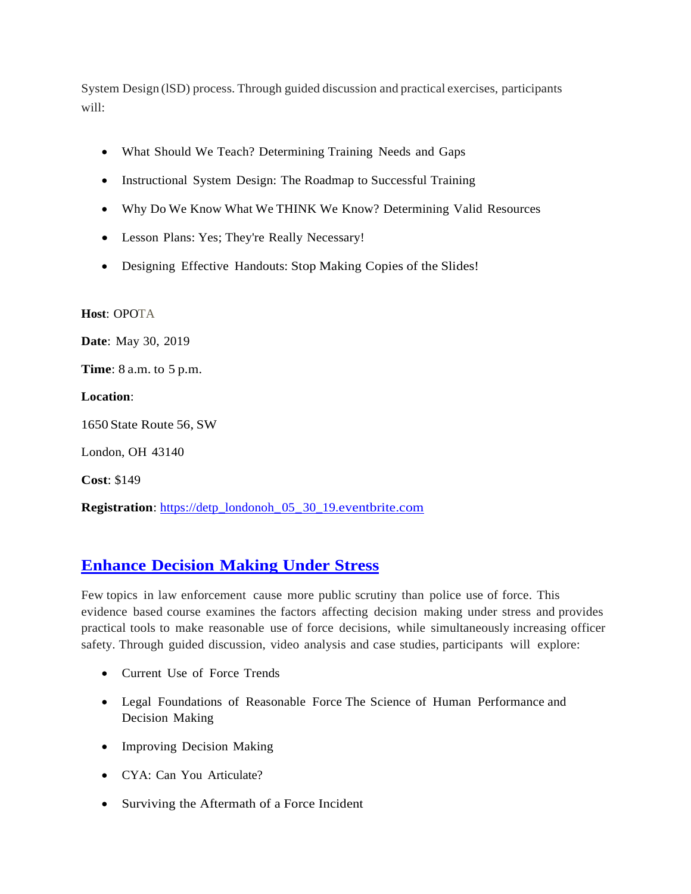System Design (lSD) process. Through guided discussion and practical exercises, participants will:

- What Should We Teach? Determining Training Needs and Gaps
- Instructional System Design: The Roadmap to Successful Training
- Why Do We Know What We THINK We Know? Determining Valid Resources
- Lesson Plans: Yes; They're Really Necessary!
- Designing Effective Handouts: Stop Making Copies of the Slides!

**Host**: OPOTA

**Date**: May 30, 2019

**Time**: 8 a.m. to 5 p.m.

**Location**:

1650 State Route 56, SW

London, OH 43140

**Cost**: \$149

**Registration**: [https://detp\\_londonoh\\_05\\_30\\_19.eventbrite.com](https://detp_londonoh_05_30_19.eventbrite.com/)

### **[Enhance](https://www.ohioattorneygeneral.gov/Media/Newsletters/Ohio-Peace-Officer-Training-Academy-email-newslett/April-2019/Enhance-Decision-Making-Under-Stress) Decision Making Under Stress**

Few topics in law enforcement cause more public scrutiny than police use of force. This evidence based course examines the factors affecting decision making under stress and provides practical tools to make reasonable use of force decisions, while simultaneously increasing officer safety. Through guided discussion, video analysis and case studies, participants will explore:

- Current Use of Force Trends
- Legal Foundations of Reasonable Force The Science of Human Performance and Decision Making
- Improving Decision Making
- CYA: Can You Articulate?
- Surviving the Aftermath of a Force Incident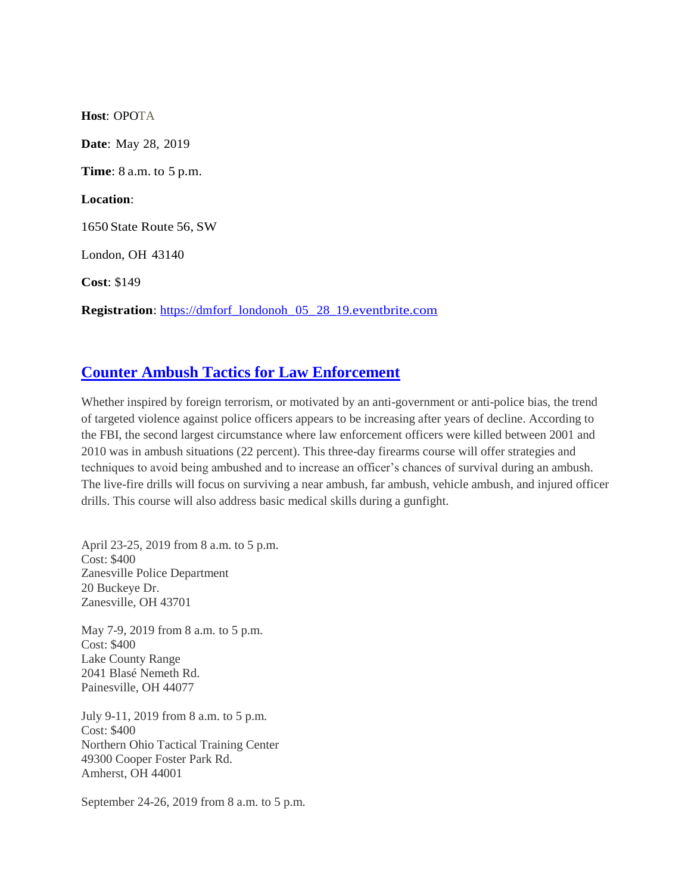**Host**: OPOTA **Date**: May 28, 2019 **Time**: 8 a.m. to 5 p.m. **Location**: 1650 State Route 56, SW London, OH 43140 **Cost**: \$149 **Registration**: [https://dmforf\\_londonoh\\_05\\_28\\_19.eventbrite.com](https://dmforf_londonoh_05_28_19.eventbrite.com/)

### **[Counter Ambush Tactics for Law Enforcement](https://www.ohioattorneygeneral.gov/Media/Newsletters/Ohio-Peace-Officer-Training-Academy-email-newslett/April-2019/Counter-Ambush-Tactics-for-Law-Enforcement)**

Whether inspired by foreign terrorism, or motivated by an anti-government or anti-police bias, the trend of targeted violence against police officers appears to be increasing after years of decline. According to the FBI, the second largest circumstance where law enforcement officers were killed between 2001 and 2010 was in ambush situations (22 percent). This three-day firearms course will offer strategies and techniques to avoid being ambushed and to increase an officer's chances of survival during an ambush. The live-fire drills will focus on surviving a near ambush, far ambush, vehicle ambush, and injured officer drills. This course will also address basic medical skills during a gunfight.

April 23-25, 2019 from 8 a.m. to 5 p.m. Cost: \$400 Zanesville Police Department 20 Buckeye Dr. Zanesville, OH 43701

May 7-9, 2019 from 8 a.m. to 5 p.m. Cost: \$400 Lake County Range 2041 Blasé Nemeth Rd. Painesville, OH 44077

July 9-11, 2019 from 8 a.m. to 5 p.m. Cost: \$400 Northern Ohio Tactical Training Center 49300 Cooper Foster Park Rd. Amherst, OH 44001

September 24-26, 2019 from 8 a.m. to 5 p.m.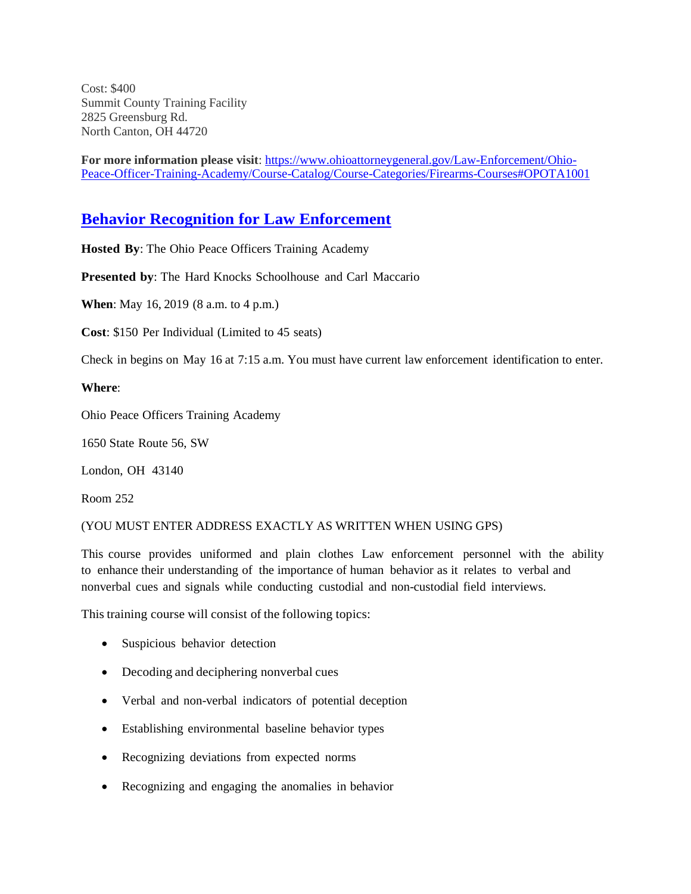Cost: \$400 Summit County Training Facility 2825 Greensburg Rd. North Canton, OH 44720

**For more information please visit**: [https://www.ohioattorneygeneral.gov/Law-Enforcement/Ohio-](https://www.ohioattorneygeneral.gov/Law-Enforcement/Ohio-Peace-Officer-Training-Academy/Course-Catalog/Course-Categories/Firearms-Courses#OPOTA1001)[Peace-Officer-Training-Academy/Course-Catalog/Course-Categories/Firearms-Courses#OPOTA1001](https://www.ohioattorneygeneral.gov/Law-Enforcement/Ohio-Peace-Officer-Training-Academy/Course-Catalog/Course-Categories/Firearms-Courses#OPOTA1001)

#### **[Behavior Recognition](https://www.ohioattorneygeneral.gov/Media/Newsletters/Ohio-Peace-Officer-Training-Academy-email-newslett/April-2019/Counter-Ambush-Tactics-for-Law-Enforcement) for Law Enforcement**

**Hosted By**: The Ohio Peace Officers Training Academy

**Presented by**: The Hard Knocks Schoolhouse and Carl Maccario

**When**: May 16, 2019 (8 a.m. to 4 p.m.)

**Cost**: \$150 Per Individual (Limited to 45 seats)

Check in begins on May 16 at 7:15 a.m. You must have current law enforcement identification to enter.

#### **Where**:

Ohio Peace Officers Training Academy

1650 State Route 56, SW

London, OH 43140

Room 252

#### (YOU MUST ENTER ADDRESS EXACTLY AS WRITTEN WHEN USING GPS)

This course provides uniformed and plain clothes Law enforcement personnel with the ability to enhance their understanding of the importance of human behavior as it relates to verbal and nonverbal cues and signals while conducting custodial and non-custodial field interviews.

This training course will consist of the following topics:

- Suspicious behavior detection
- Decoding and deciphering nonverbal cues
- Verbal and non-verbal indicators of potential deception
- Establishing environmental baseline behavior types
- Recognizing deviations from expected norms
- Recognizing and engaging the anomalies in behavior